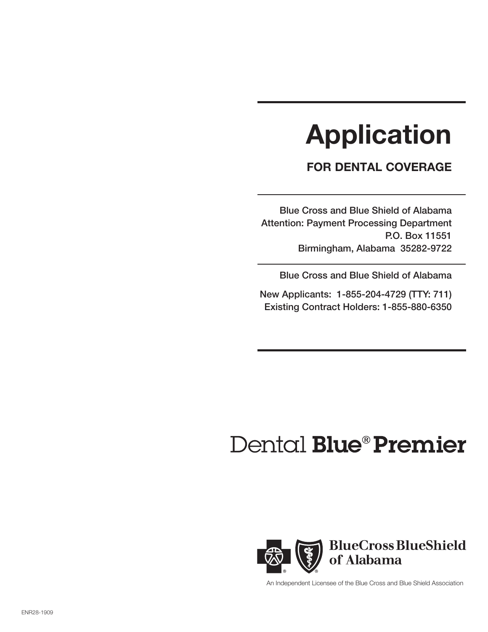# Application

# FOR DENTAL COVERAGE

Blue Cross and Blue Shield of Alabama Attention: Payment Processing Department P.O. Box 11551 Birmingham, Alabama 35282-9722

Blue Cross and Blue Shield of Alabama

New Applicants: 1-855-204-4729 (TTY: 711) Existing Contract Holders: 1-855-880-6350

# Dental Blue<sup>®</sup> Premier



An Independent Licensee of the Blue Cross and Blue Shield Association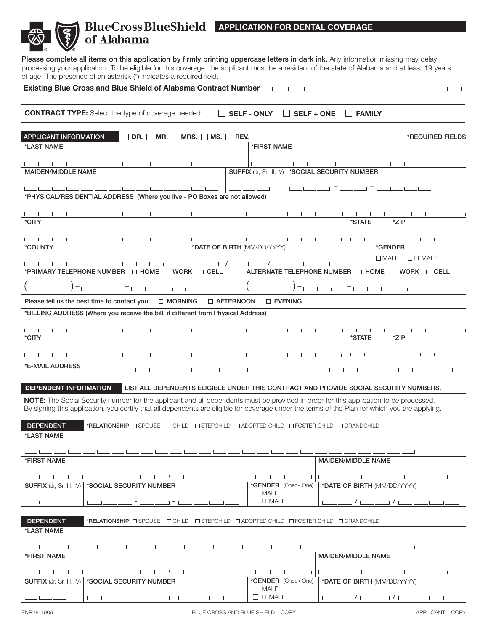# BlueCross BlueShield | APPLICATION FOR DENTAL COVERAGE of Alabama

Please complete all items on this application by firmly printing uppercase letters in dark ink. Any information missing may delay processing your application. To be eligible for this coverage, the applicant must be a resident of the state of Alabama and at least 19 years of age. The presence of an asterisk (\*) indicates a required field.

| <b>Existing Blue Cross and Blue Shield of Alabama Contract Number</b>                                                                                                                                                                                                                   |                                                                             |                                    |                   |                             |                                                                               |                  |
|-----------------------------------------------------------------------------------------------------------------------------------------------------------------------------------------------------------------------------------------------------------------------------------------|-----------------------------------------------------------------------------|------------------------------------|-------------------|-----------------------------|-------------------------------------------------------------------------------|------------------|
| <b>CONTRACT TYPE:</b> Select the type of coverage needed:                                                                                                                                                                                                                               |                                                                             | <b>SELF - ONLY</b>                 | <b>SELF + ONE</b> | I FAMILY                    |                                                                               |                  |
| <b>APPLICANT INFORMATION</b><br>DR. $M$ MR. $\Box$<br>*LAST NAME                                                                                                                                                                                                                        | MRS. MS. REV.                                                               | *FIRST NAME                        |                   |                             |                                                                               | *REQUIRED FIELDS |
| <b>MAIDEN/MIDDLE NAME</b>                                                                                                                                                                                                                                                               |                                                                             | SUFFIX (Jr, Sr, III, IV)           |                   | *SOCIAL SECURITY NUMBER     |                                                                               |                  |
| والمستنا والمستنا والمستنا والمستناولية<br>*PHYSICAL/RESIDENTIAL ADDRESS (Where you live - PO Boxes are not allowed)                                                                                                                                                                    | ╙                                                                           | المستطيعات                         |                   |                             |                                                                               |                  |
| *CITY                                                                                                                                                                                                                                                                                   |                                                                             |                                    |                   | *STATE                      | *ZIP                                                                          |                  |
| *COUNTY                                                                                                                                                                                                                                                                                 | *DATE OF BIRTH (MM/DD/YYYY)                                                 |                                    |                   |                             | *GENDER                                                                       |                  |
| *PRIMARY TELEPHONE NUMBER $\Box$ HOME $\Box$ WORK $\Box$ CELL                                                                                                                                                                                                                           |                                                                             |                                    |                   |                             | $\Box$ MALE<br>ALTERNATE TELEPHONE NUMBER $\Box$ HOME $\Box$ WORK $\Box$ CELL | $\square$ FEMALE |
|                                                                                                                                                                                                                                                                                         |                                                                             |                                    |                   | $1 - 1 = 1 - 1 = 1 - 1 = 1$ |                                                                               |                  |
| Please tell us the best time to contact you: $\Box$ MORNING                                                                                                                                                                                                                             | <b>D AFTERNOON</b>                                                          | $\square$ EVENING                  |                   |                             |                                                                               |                  |
| *BILLING ADDRESS (Where you receive the bill, if different from Physical Address)                                                                                                                                                                                                       |                                                                             |                                    |                   |                             |                                                                               |                  |
| *CITY                                                                                                                                                                                                                                                                                   |                                                                             |                                    |                   | *STATE                      | *ZIP                                                                          |                  |
| *E-MAIL ADDRESS                                                                                                                                                                                                                                                                         |                                                                             |                                    |                   |                             |                                                                               |                  |
| <b>DEPENDENT INFORMATION</b><br>LIST ALL DEPENDENTS ELIGIBLE UNDER THIS CONTRACT AND PROVIDE SOCIAL SECURITY NUMBERS.                                                                                                                                                                   |                                                                             |                                    |                   |                             |                                                                               |                  |
| NOTE: The Social Security number for the applicant and all dependents must be provided in order for this application to be processed.<br>By signing this application, you certify that all dependents are eligible for coverage under the terms of the Plan for which you are applying. |                                                                             |                                    |                   |                             |                                                                               |                  |
| <b>DEPENDENT</b><br>*RELATIONSHIP <b>ESPOUSE EXAMULA</b><br>*LAST NAME                                                                                                                                                                                                                  | $\Box$ STEPCHILD $\Box$ ADOPTED CHILD $\Box$ FOSTER CHILD $\Box$ GRANDCHILD |                                    |                   |                             |                                                                               |                  |
|                                                                                                                                                                                                                                                                                         |                                                                             |                                    |                   |                             |                                                                               |                  |
| *FIRST NAME                                                                                                                                                                                                                                                                             |                                                                             |                                    |                   | <b>MAIDEN/MIDDLE NAME</b>   |                                                                               |                  |
| *SOCIAL SECURITY NUMBER<br><b>SUFFIX</b> (Jr, Sr, III, IV)                                                                                                                                                                                                                              |                                                                             | *GENDER (Check One)                |                   | <b>Contract</b>             | and the control of<br>*DATE OF BIRTH (MM/DD/YYYY)                             |                  |
| $\vert - \vert$<br>Ξ.                                                                                                                                                                                                                                                                   |                                                                             | $\Box$ MALE<br>$\Box$ FEMALE       |                   |                             |                                                                               |                  |
| <b>DEPENDENT</b><br>*RELATIONSHIP OSPOUSE OCHILD OSTEPCHILD OADOPTED CHILD OFOSTER CHILD OGRANDCHILD                                                                                                                                                                                    |                                                                             |                                    |                   |                             |                                                                               |                  |
| *LAST NAME                                                                                                                                                                                                                                                                              |                                                                             |                                    |                   |                             |                                                                               |                  |
| *FIRST NAME                                                                                                                                                                                                                                                                             |                                                                             |                                    |                   | <b>MAIDEN/MIDDLE NAME</b>   |                                                                               |                  |
|                                                                                                                                                                                                                                                                                         |                                                                             |                                    |                   |                             |                                                                               |                  |
| *SOCIAL SECURITY NUMBER<br><b>SUFFIX</b> (Jr, Sr, III, IV)                                                                                                                                                                                                                              |                                                                             | *GENDER (Check One)<br>$\Box$ MALE |                   |                             | *DATE OF BIRTH (MM/DD/YYYY)                                                   |                  |
|                                                                                                                                                                                                                                                                                         |                                                                             | $\Box$ FEMALE                      |                   | $1/1$ $1$                   |                                                                               |                  |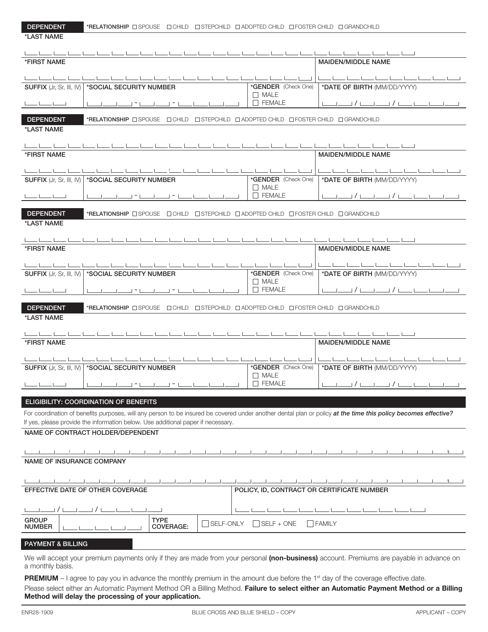\*LAST NAME

| <b>DEPENDENT</b> |
|------------------|
|------------------|

|                                                                                                                                                                |                  | المستنا يستنبط المستنا يتنا                                                | للمستا يتنبط يتنبط يتناولنا                           |
|----------------------------------------------------------------------------------------------------------------------------------------------------------------|------------------|----------------------------------------------------------------------------|-------------------------------------------------------|
| *FIRST NAME                                                                                                                                                    |                  |                                                                            | <b>MAIDEN/MIDDLE NAME</b>                             |
|                                                                                                                                                                |                  |                                                                            | المسار مسار المسار المسار المسار المسار المسار المسار |
| SUFFIX (Jr, Sr, III, IV)   *SOCIAL SECURITY NUMBER                                                                                                             |                  | *GENDER (Check One)                                                        | *DATE OF BIRTH (MM/DD/YYYY)                           |
|                                                                                                                                                                |                  | $\Box$ MALE                                                                |                                                       |
| $   -$<br>وليستنا ومساومتنا كالمستولين كالمستناة المستولين المستنا                                                                                             |                  | $\Box$ FEMALE                                                              |                                                       |
| <b>DEPENDENT</b><br>*RELATIONSHIP <b>O SPOUSE</b> O CHILD <b>O STEPCHILD O ADOPTED CHILD</b> O FOSTER CHILD O GRANDCHILD                                       |                  |                                                                            |                                                       |
| *LAST NAME                                                                                                                                                     |                  |                                                                            |                                                       |
|                                                                                                                                                                |                  |                                                                            |                                                       |
| كالمسالمين المتعارضين                                                                                                                                          |                  |                                                                            | المسابقة المساحس المساحس المساحسات                    |
| *FIRST NAME                                                                                                                                                    |                  |                                                                            | <b>MAIDEN/MIDDLE NAME</b>                             |
| كالمساحسة المناد<br>كالمستنا كالمستامسين المتناجين المستامسين المسامي                                                                                          |                  |                                                                            |                                                       |
| SUFFIX (Jr, Sr, III, IV)   *SOCIAL SECURITY NUMBER                                                                                                             |                  | *GENDER (Check One)                                                        | *DATE OF BIRTH (MM/DD/YYYY)                           |
|                                                                                                                                                                |                  | $\Box$ MALE                                                                |                                                       |
|                                                                                                                                                                |                  | $\Box$ FEMALE                                                              | المستنا المستنا المستنا كالمستنا كالمستنات            |
| <b>DEPENDENT</b><br>*RELATIONSHIP <b>O SPOUSE</b> O CHILD <b>O STEPCHILD O ADOPTED CHILD</b> O FOSTER CHILD O GRANDCHILD                                       |                  |                                                                            |                                                       |
| *LAST NAME                                                                                                                                                     |                  |                                                                            |                                                       |
|                                                                                                                                                                |                  |                                                                            |                                                       |
|                                                                                                                                                                |                  |                                                                            | المساوسين والمساوسين والمساوسين والمساوس              |
| *FIRST NAME                                                                                                                                                    |                  |                                                                            | <b>MAIDEN/MIDDLE NAME</b>                             |
|                                                                                                                                                                |                  |                                                                            |                                                       |
| $\mathbf{L} = \mathbf{L} = \mathbf{L} = \mathbf{L}$<br>كالمستحل والمستلوط والمستنقل والمستنقل<br>كالمستنا والمستناد والمستنا                                   |                  | $\mathbf{1}$ $\mathbf{1}$ $\mathbf{1}$ $\mathbf{1}$<br>*GENDER (Check One) | والمستوا والمستوا والمستوات والمستوات والمستوات       |
| SUFFIX (Jr, Sr, III, IV)   *SOCIAL SECURITY NUMBER                                                                                                             |                  | $\Box$ MALE                                                                | *DATE OF BIRTH (MM/DD/YYYY)                           |
| المساحسا حد<br>والمستنا ومستناسات المستنا والمستنا والمستنا والمستنا                                                                                           |                  | $\Box$ FEMALE                                                              |                                                       |
|                                                                                                                                                                |                  |                                                                            |                                                       |
| <b>DEPENDENT</b><br>*RELATIONSHIP OSPOUSE OCHILD OSTEPCHILD OADOPTED CHILD OFOSTER CHILD OGRANDCHILD                                                           |                  |                                                                            |                                                       |
| *LAST NAME                                                                                                                                                     |                  |                                                                            |                                                       |
| المستنا والمساحسين والمساحي                                                                                                                                    |                  |                                                                            | المتنقيل والمستنا والمستنا والمستنا والمستناوين       |
| *FIRST NAME                                                                                                                                                    |                  |                                                                            | MAIDEN/MIDDLE NAME                                    |
|                                                                                                                                                                |                  |                                                                            |                                                       |
|                                                                                                                                                                |                  |                                                                            | the contract of the contract of the                   |
| SUFFIX (Jr, Sr, III, IV)   *SOCIAL SECURITY NUMBER                                                                                                             |                  | *GENDER (Check One)                                                        | *DATE OF BIRTH (MM/DD/YYYY)                           |
|                                                                                                                                                                |                  | $\Box$ MALE<br>$\Box$ FEMALE                                               |                                                       |
| والمستنا للمستنا المستنبا<br><u> 2002 - Jan Bernard Maria Barat (m. 1958)</u>                                                                                  |                  |                                                                            |                                                       |
| <b>ELIGIBILITY: COORDINATION OF BENEFITS</b>                                                                                                                   |                  |                                                                            |                                                       |
| For coordination of benefits purposes, will any person to be insured be covered under another dental plan or policy at the time this policy becomes effective? |                  |                                                                            |                                                       |
| If yes, please provide the information below. Use additional paper if necessary.                                                                               |                  |                                                                            |                                                       |
| NAME OF CONTRACT HOLDER/DEPENDENT                                                                                                                              |                  |                                                                            |                                                       |
|                                                                                                                                                                |                  |                                                                            |                                                       |
|                                                                                                                                                                |                  |                                                                            |                                                       |
| <b>NAME OF INSURANCE COMPANY</b>                                                                                                                               |                  |                                                                            |                                                       |
|                                                                                                                                                                |                  |                                                                            |                                                       |
|                                                                                                                                                                |                  |                                                                            |                                                       |
| EFFECTIVE DATE OF OTHER COVERAGE                                                                                                                               |                  | POLICY, ID, CONTRACT OR CERTIFICATE NUMBER                                 |                                                       |
|                                                                                                                                                                |                  |                                                                            |                                                       |
| ⊿ / L                                                                                                                                                          |                  |                                                                            |                                                       |
| <b>TYPE</b><br><b>GROUP</b>                                                                                                                                    |                  |                                                                            |                                                       |
| <b>NUMBER</b><br>COVERAGE:                                                                                                                                     | $\Box$ SELF-ONLY | $SELF + ONE$                                                               | $ $ FAMILY                                            |
|                                                                                                                                                                |                  |                                                                            |                                                       |
| <b>PAYMENT &amp; BILLING</b>                                                                                                                                   |                  |                                                                            |                                                       |
| We will accept your premium payments only if they are made from your personal (non-business) account. Premiums are payable in advance on<br>a monthly basis.   |                  |                                                                            |                                                       |
|                                                                                                                                                                |                  |                                                                            |                                                       |
| PREMIUM - I agree to pay you in advance the monthly premium in the amount due before the 1 <sup>st</sup> day of the coverage effective date.                   |                  |                                                                            |                                                       |

Please select either an Automatic Payment Method OR a Billing Method. Failure to select either an Automatic Payment Method or a Billing Method will delay the processing of your application.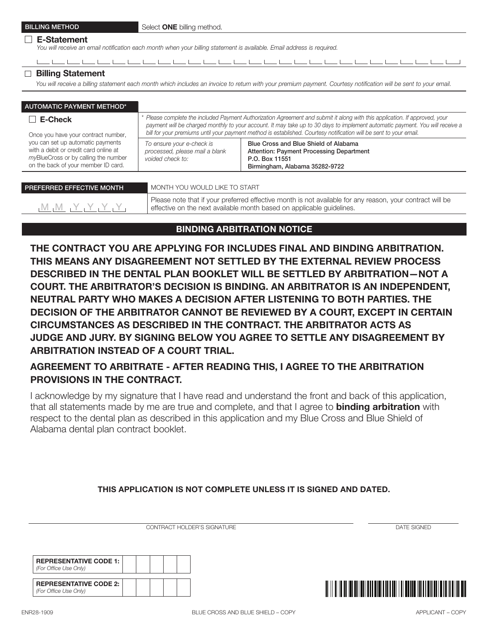#### □ E-Statement

*You will receive an email notification each month when your billing statement is available. Email address is required.*

للمستعلم المستعلم المستعلمين والمستعلم والمستعلم والمستعلم والمستعلم والمستعلم والمستعلم والمستعلم والمستعلم والمستعلم والمستعلم والمستعلم والمستعلم والمستعلم والمستعلم والمستعلم والمستعلم والمستعلم والمستعلم والمستعلم وال

## □ Billing Statement

*You will receive a billing statement each month which includes an invoice to return with your premium payment. Courtesy notification will be sent to your email.*

| <b>AUTOMATIC PAYMENT METHOD*</b>                                                                                                                          |                                                                                                                                                                                                                                                                                                                                                                                    |                                                                                                                                              |  |  |  |
|-----------------------------------------------------------------------------------------------------------------------------------------------------------|------------------------------------------------------------------------------------------------------------------------------------------------------------------------------------------------------------------------------------------------------------------------------------------------------------------------------------------------------------------------------------|----------------------------------------------------------------------------------------------------------------------------------------------|--|--|--|
| E-Check<br>Once you have your contract number,                                                                                                            | * Please complete the included Payment Authorization Agreement and submit it along with this application. If approved, your<br>payment will be charged monthly to your account. It may take up to 30 days to implement automatic payment. You will receive a<br>bill for your premiums until your payment method is established. Courtesy notification will be sent to your email. |                                                                                                                                              |  |  |  |
| you can set up automatic payments<br>with a debit or credit card online at<br>myBlueCross or by calling the number<br>on the back of your member ID card. | To ensure your e-check is<br>processed, please mail a blank<br>voided check to:                                                                                                                                                                                                                                                                                                    | Blue Cross and Blue Shield of Alabama<br><b>Attention: Payment Processing Department</b><br>P.O. Box 11551<br>Birmingham, Alabama 35282-9722 |  |  |  |
|                                                                                                                                                           |                                                                                                                                                                                                                                                                                                                                                                                    |                                                                                                                                              |  |  |  |

| PREFERRED EFFECTIVE MONTH                                                                                                    | MONTH YOU WOULD LIKE TO START                                                                                                                                                      |
|------------------------------------------------------------------------------------------------------------------------------|------------------------------------------------------------------------------------------------------------------------------------------------------------------------------------|
| $_1$ $_1$ $_2$ $_3$ $_4$ $_5$ $_7$ $_7$ $_7$ $_7$ $_8$ $_7$ $_8$ $_7$ $_7$ $_8$ $_7$ $_8$ $_7$ $_8$ $_7$ $_8$ $_9$ $_1$ $_1$ | Please note that if your preferred effective month is not available for any reason, your contract will be<br>effective on the next available month based on applicable guidelines. |

# BINDING ARBITRATION NOTICE

THE CONTRACT YOU ARE APPLYING FOR INCLUDES FINAL AND BINDING ARBITRATION. THIS MEANS ANY DISAGREEMENT NOT SETTLED BY THE EXTERNAL REVIEW PROCESS DESCRIBED IN THE DENTAL PLAN BOOKLET WILL BE SETTLED BY ARBITRATION—NOT A COURT. THE ARBITRATOR'S DECISION IS BINDING. AN ARBITRATOR IS AN INDEPENDENT, NEUTRAL PARTY WHO MAKES A DECISION AFTER LISTENING TO BOTH PARTIES. THE DECISION OF THE ARBITRATOR CANNOT BE REVIEWED BY A COURT, EXCEPT IN CERTAIN CIRCUMSTANCES AS DESCRIBED IN THE CONTRACT. THE ARBITRATOR ACTS AS JUDGE AND JURY. BY SIGNING BELOW YOU AGREE TO SETTLE ANY DISAGREEMENT BY ARBITRATION INSTEAD OF A COURT TRIAL.

# AGREEMENT TO ARBITRATE - AFTER READING THIS, I AGREE TO THE ARBITRATION PROVISIONS IN THE CONTRACT.

I acknowledge by my signature that I have read and understand the front and back of this application, that all statements made by me are true and complete, and that I agree to **binding arbitration** with respect to the dental plan as described in this application and my Blue Cross and Blue Shield of Alabama dental plan contract booklet.

# THIS APPLICATION IS NOT COMPLETE UNLESS IT IS SIGNED AND DATED.

CONTRACT HOLDER'S SIGNATURE **Example 2006** CONTRACT HOLDER'S SIGNATURE

REPRESENTATIVE CODE 1: *(For Office Use Only)* REPRESENTATIVE CODE 2: *(For Office Use Only)*

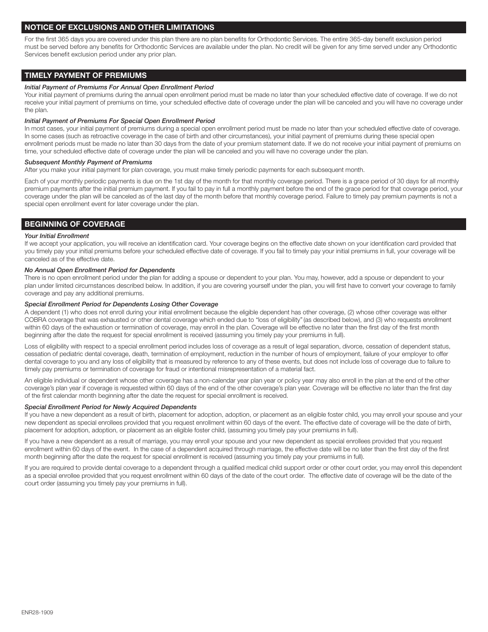## NOTICE OF EXCLUSIONS AND OTHER LIMITATIONS

For the first 365 days you are covered under this plan there are no plan benefits for Orthodontic Services. The entire 365-day benefit exclusion period must be served before any benefits for Orthodontic Services are available under the plan. No credit will be given for any time served under any Orthodontic Services benefit exclusion period under any prior plan.

## TIMELY PAYMENT OF PREMIUMS

#### *Initial Payment of Premiums For Annual Open Enrollment Period*

Your initial payment of premiums during the annual open enrollment period must be made no later than your scheduled effective date of coverage. If we do not receive your initial payment of premiums on time, your scheduled effective date of coverage under the plan will be canceled and you will have no coverage under the plan.

#### *Initial Payment of Premiums For Special Open Enrollment Period*

In most cases, your initial payment of premiums during a special open enrollment period must be made no later than your scheduled effective date of coverage. In some cases (such as retroactive coverage in the case of birth and other circumstances), your initial payment of premiums during these special open enrollment periods must be made no later than 30 days from the date of your premium statement date. If we do not receive your initial payment of premiums on time, your scheduled effective date of coverage under the plan will be canceled and you will have no coverage under the plan.

#### *Subsequent Monthly Payment of Premiums*

After you make your initial payment for plan coverage, you must make timely periodic payments for each subsequent month.

Each of your monthly periodic payments is due on the 1st day of the month for that monthly coverage period. There is a grace period of 30 days for all monthly premium payments after the initial premium payment. If you fail to pay in full a monthly payment before the end of the grace period for that coverage period, your coverage under the plan will be canceled as of the last day of the month before that monthly coverage period. Failure to timely pay premium payments is not a special open enrollment event for later coverage under the plan.

### BEGINNING OF COVERAGE

#### *Your Initial Enrollment*

If we accept your application, you will receive an identification card. Your coverage begins on the effective date shown on your identification card provided that you timely pay your initial premiums before your scheduled effective date of coverage. If you fail to timely pay your initial premiums in full, your coverage will be canceled as of the effective date.

#### *No Annual Open Enrollment Period for Dependents*

There is no open enrollment period under the plan for adding a spouse or dependent to your plan. You may, however, add a spouse or dependent to your plan under limited circumstances described below. In addition, if you are covering yourself under the plan, you will first have to convert your coverage to family coverage and pay any additional premiums.

#### *Special Enrollment Period for Dependents Losing Other Coverage*

A dependent (1) who does not enroll during your initial enrollment because the eligible dependent has other coverage, (2) whose other coverage was either COBRA coverage that was exhausted or other dental coverage which ended due to "loss of eligibility" (as described below), and (3) who requests enrollment within 60 days of the exhaustion or termination of coverage, may enroll in the plan. Coverage will be effective no later than the first day of the first month beginning after the date the request for special enrollment is received (assuming you timely pay your premiums in full).

Loss of eligibility with respect to a special enrollment period includes loss of coverage as a result of legal separation, divorce, cessation of dependent status, cessation of pediatric dental coverage, death, termination of employment, reduction in the number of hours of employment, failure of your employer to offer dental coverage to you and any loss of eligibility that is measured by reference to any of these events, but does not include loss of coverage due to failure to timely pay premiums or termination of coverage for fraud or intentional misrepresentation of a material fact.

An eligible individual or dependent whose other coverage has a non-calendar year plan year or policy year may also enroll in the plan at the end of the other coverage's plan year if coverage is requested within 60 days of the end of the other coverage's plan year. Coverage will be effective no later than the first day of the first calendar month beginning after the date the request for special enrollment is received.

#### *Special Enrollment Period for Newly Acquired Dependents*

If you have a new dependent as a result of birth, placement for adoption, adoption, or placement as an eligible foster child, you may enroll your spouse and your new dependent as special enrollees provided that you request enrollment within 60 days of the event. The effective date of coverage will be the date of birth, placement for adoption, adoption, or placement as an eligible foster child, (assuming you timely pay your premiums in full).

If you have a new dependent as a result of marriage, you may enroll your spouse and your new dependent as special enrollees provided that you request enrollment within 60 days of the event. In the case of a dependent acquired through marriage, the effective date will be no later than the first day of the first month beginning after the date the request for special enrollment is received (assuming you timely pay your premiums in full).

If you are required to provide dental coverage to a dependent through a qualified medical child support order or other court order, you may enroll this dependent as a special enrollee provided that you request enrollment within 60 days of the date of the court order. The effective date of coverage will be the date of the court order (assuming you timely pay your premiums in full).